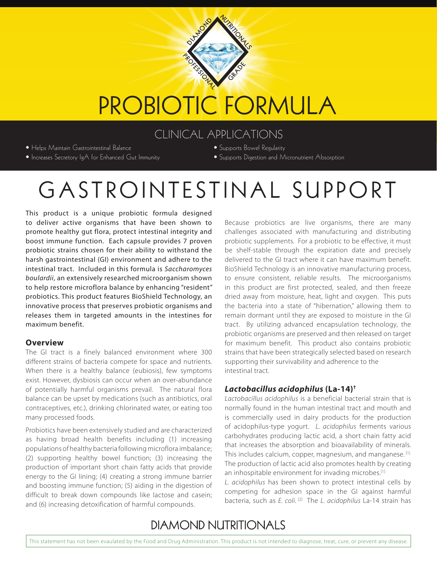

# PROBIOTIC FORMULA

## CLINICAL APPLICATIONS

• Helps Maintain Gastrointestinal Balance

- Increases Secretory IgA for Enhanced Gut Immunity
- Supports Bowel Regularity
- Supports Digestion and Micronutrient Absorption

# GASTROINTESTINAL SUPPORT

This product is a unique probiotic formula designed to deliver active organisms that have been shown to promote healthy gut flora, protect intestinal integrity and boost immune function. Each capsule provides 7 proven probiotic strains chosen for their ability to withstand the harsh gastrointestinal (GI) environment and adhere to the intestinal tract. Included in this formula is *Saccharomyces boulardii*, an extensively researched microorganism shown to help restore microflora balance by enhancing "resident" probiotics. This product features BioShield Technology, an innovative process that preserves probiotic organisms and releases them in targeted amounts in the intestines for maximum benefit.

#### **Overview**

The GI tract is a finely balanced environment where 300 different strains of bacteria compete for space and nutrients. When there is a healthy balance (eubiosis), few symptoms exist. However, dysbiosis can occur when an over-abundance of potentially harmful organisms prevail. The natural flora balance can be upset by medications (such as antibiotics, oral contraceptives, etc.), drinking chlorinated water, or eating too many processed foods.

Probiotics have been extensively studied and are characterized as having broad health benefits including (1) increasing populations of healthy bacteria following microflora imbalance; (2) supporting healthy bowel function; (3) increasing the production of important short chain fatty acids that provide energy to the GI lining; (4) creating a strong immune barrier and boosting immune function; (5) aiding in the digestion of difficult to break down compounds like lactose and casein; and (6) increasing detoxification of harmful compounds.

Because probiotics are live organisms, there are many challenges associated with manufacturing and distributing probiotic supplements. For a probiotic to be effective, it must be shelf-stable through the expiration date and precisely delivered to the GI tract where it can have maximum benefit. BioShield Technology is an innovative manufacturing process, to ensure consistent, reliable results. The microorganisms in this product are first protected, sealed, and then freeze dried away from moisture, heat, light and oxygen. This puts the bacteria into a state of "hibernation," allowing them to remain dormant until they are exposed to moisture in the GI tract. By utilizing advanced encapsulation technology, the probiotic organisms are preserved and then released on target for maximum benefit. This product also contains probiotic strains that have been strategically selected based on research supporting their survivability and adherence to the intestinal tract.

#### *Lactobacillus acidophilus* **(La-14)†**

*Lactobacillus acidophilus* is a beneficial bacterial strain that is normally found in the human intestinal tract and mouth and is commercially used in dairy products for the production of acidophilus-type yogurt. *L. acidophilus* ferments various carbohydrates producing lactic acid, a short chain fatty acid that increases the absorption and bioavailability of minerals. This includes calcium, copper, magnesium, and manganese. [1] The production of lactic acid also promotes health by creating an inhospitable environment for invading microbes.<sup>[1]</sup>

*L. acidophilus* has been shown to protect intestinal cells by competing for adhesion space in the GI against harmful bacteria, such as *E. coli.* [2] The *L. acidophilus* La-14 strain has

## **DIAMOND NUTRITIONALS**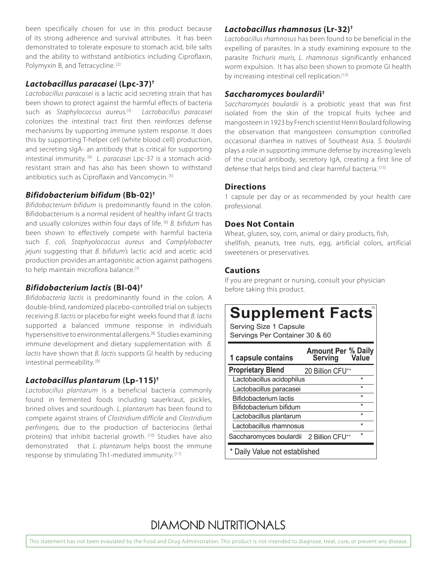been specifically chosen for use in this product because of its strong adherence and survival attributes. It has been demonstrated to tolerate exposure to stomach acid, bile salts and the ability to withstand antibiotics including Ciproflaxin, Polymyxin B, and Tetracycline. [2]

#### *Lactobacillus paracasei* **(Lpc-37)†**

*Lactobacillus paracasei* is a lactic acid secreting strain that has been shown to protect against the harmful effects of bacteria such as *Staphylococcus aureus.*[3] *Lactobacillus paracasei* colonizes the intestinal tract first then reinforces defense mechanisms by supporting immune system response. It does this by supporting T-helper cell (white blood cell) production, and secreting sIgA- an antibody that is critical for supporting intestinal immunity. [4] *L. paracasei* Lpc-37 is a stomach acidresistant strain and has also has been shown to withstand antibiotics such as Ciproflaxin and Vancomycin.<sup>[5]</sup>

#### *Bifidobacterium bifidum* **(Bb-02)†**

*Bifidobacterium bifidum* is predominantly found in the colon. Bifidobacterium is a normal resident of healthy infant GI tracts and usually colonizes within four days of life. [6] *B. bifidum* has been shown to effectively compete with harmful bacteria such *E. coli, Staphyolococcus aureus* and *Camplylobacter jejuni* suggesting that *B. bifidum's* lactic acid and acetic acid production provides an antagonistic action against pathogens to help maintain microflora balance.<sup>[7]</sup>

#### *Bifidobacterium lactis* **(BI-04)†**

*Bifidobacteria lactis* is predominantly found in the colon. A double-blind, randomized placebo-controlled trial on subjects receiving *B. lactis* or placebo for eight weeks found that *B. lactis* supported a balanced immune response in individuals hypersensitive to environmental allergens.[8] Studies examining immune development and dietary supplementation with *B. lactis* have shown that *B. lactis* supports GI health by reducing intestinal permeability. [9]

#### *Lactobacillus plantarum* **(Lp-115)†**

*Lactobacillus plantarum* is a beneficial bacteria commonly found in fermented foods including sauerkraut, pickles, brined olives and sourdough. *L. plantarum* has been found to compete against strains of *Clostridium difficile* and *Clostridium perfringens,* due to the production of bacteriocins (lethal proteins) that inhibit bacterial growth. [10] Studies have also demonstrated that *L. plantarum* helps boost the immune response by stimulating Th1-mediated immunity. [11]

#### *Lactobacillus rhamnosus* **(Lr-32)†**

*Lactobacillus rhamnosus* has been found to be beneficial in the expelling of parasites. In a study examining exposure to the parasite *Trichuris muris, L. rhamnosus* significantly enhanced worm expulsion. It has also been shown to promote GI health by increasing intestinal cell replication.<sup>[12]</sup>

#### *Saccharomyces boulardi***i †**

*Saccharomyces boulardii* is a probiotic yeast that was first isolated from the skin of the tropical fruits lychee and mangosteen in 1923 by French scientist Henri Boulard following the observation that mangosteen consumption controlled occasional diarrhea in natives of Southeast Asia. *S. boulardii* plays a role in supporting immune defense by increasing levels of the crucial antibody, secretory IgA, creating a first line of defense that helps bind and clear harmful bacteria. [13]

#### **Directions**

1 capsule per day or as recommended by your health care professional.

#### **Does Not Contain**

Wheat, gluten, soy, corn, animal or dairy products, fish, shellfish, peanuts, tree nuts, egg, artificial colors, artificial sweeteners or preservatives.

#### **Cautions**

If you are pregnant or nursing, consult your physician before taking this product.

# **Supplement Facts**®

Serving Size 1 Capsule Servings Per Container 30 & 60

| 1 capsule contains            | <b>Amount Per % Daily<br/>Serving Value</b> |         |
|-------------------------------|---------------------------------------------|---------|
| <b>Proprietary Blend</b>      | 20 Billion CFU <sup>++</sup>                |         |
| Lactobacillus acidophilus     |                                             | $\star$ |
| Lactobacillus paracasei       |                                             | $\star$ |
| <b>Bifidobacterium lactis</b> |                                             | $\star$ |
| Bifidobacterium bifidum       |                                             | $\star$ |
| Lactobacillus plantarum       |                                             | $\star$ |
| Lactobacillus rhamnosus       |                                             | $\star$ |
| Saccharomyces boulardii       | 2 Billion CFU <sup>++</sup>                 | $\star$ |
| * Daily Value not established |                                             |         |

### **DIAMOND NUTRITIONALS**